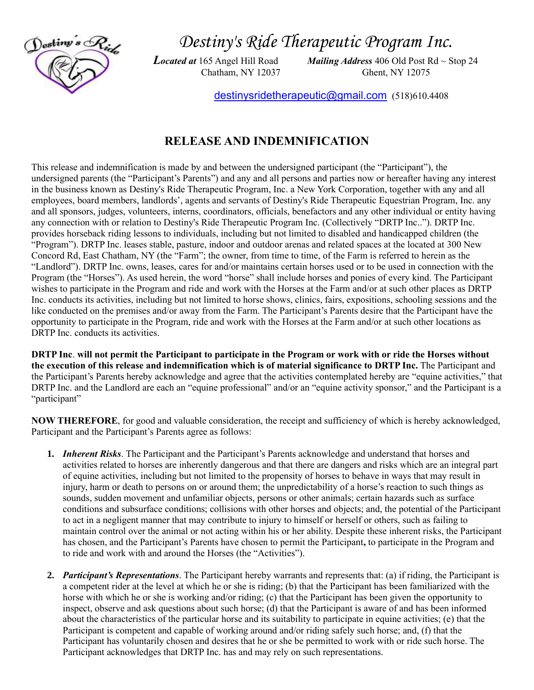

*Destiny's Ride Therapeutic Program Inc.*

*Located at* 165 Angel Hill Road *Mailing Address* 406 Old Post Rd ~ Stop 24 Chatham, NY 12037 Ghent, NY 12075

[destinysridetherapeutic@gmail.com](mailto:destinysridetherapeutic@gmail.com) (518)610.4408

## **RELEASE AND INDEMNIFICATION**

This release and indemnification is made by and between the undersigned participant (the "Participant"), the undersigned parents (the "Participant's Parents") and any and all persons and parties now or hereafter having any interest in the business known as Destiny's Ride Therapeutic Program, Inc. a New York Corporation, together with any and all employees, board members, landlords', agents and servants of Destiny's Ride Therapeutic Equestrian Program, Inc. any and all sponsors, judges, volunteers, interns, coordinators, officials, benefactors and any other individual or entity having any connection with or relation to Destiny's Ride Therapeutic Program Inc. (Collectively "DRTP Inc.."). DRTP Inc. provides horseback riding lessons to individuals, including but not limited to disabled and handicapped children (the "Program"). DRTP Inc. leases stable, pasture, indoor and outdoor arenas and related spaces at the located at 300 New Concord Rd, East Chatham, NY (the "Farm"; the owner, from time to time, of the Farm is referred to herein as the "Landlord"). DRTP Inc. owns, leases, cares for and/or maintains certain horses used or to be used in connection with the Program (the "Horses"). As used herein, the word "horse" shall include horses and ponies of every kind. The Participant wishes to participate in the Program and ride and work with the Horses at the Farm and/or at such other places as DRTP Inc. conducts its activities, including but not limited to horse shows, clinics, fairs, expositions, schooling sessions and the like conducted on the premises and/or away from the Farm. The Participant's Parents desire that the Participant have the opportunity to participate in the Program, ride and work with the Horses at the Farm and/or at such other locations as DRTP Inc. conducts its activities.

**DRTP Inc**. **will not permit the Participant to participate in the Program or work with or ride the Horses without the execution of this release and indemnification which is of material significance to DRTP Inc.** The Participant and the Participant's Parents hereby acknowledge and agree that the activities contemplated hereby are "equine activities," that DRTP Inc. and the Landlord are each an "equine professional" and/or an "equine activity sponsor," and the Participant is a "participant"

**NOW THEREFORE**, for good and valuable consideration, the receipt and sufficiency of which is hereby acknowledged, Participant and the Participant's Parents agree as follows:

- **1.** *Inherent Risks*. The Participant and the Participant's Parents acknowledge and understand that horses and activities related to horses are inherently dangerous and that there are dangers and risks which are an integral part of equine activities, including but not limited to the propensity of horses to behave in ways that may result in injury, harm or death to persons on or around them; the unpredictability of a horse's reaction to such things as sounds, sudden movement and unfamiliar objects, persons or other animals; certain hazards such as surface conditions and subsurface conditions; collisions with other horses and objects; and, the potential of the Participant to act in a negligent manner that may contribute to injury to himself or herself or others, such as failing to maintain control over the animal or not acting within his or her ability. Despite these inherent risks, the Participant has chosen, and the Participant's Parents have chosen to permit the Participant**,** to participate in the Program and to ride and work with and around the Horses (the "Activities").
- **2.** *Participant's Representations*. The Participant hereby warrants and represents that: (a) if riding, the Participant is a competent rider at the level at which he or she is riding; (b) that the Participant has been familiarized with the horse with which he or she is working and/or riding; (c) that the Participant has been given the opportunity to inspect, observe and ask questions about such horse; (d) that the Participant is aware of and has been informed about the characteristics of the particular horse and its suitability to participate in equine activities; (e) that the Participant is competent and capable of working around and/or riding safely such horse; and, (f) that the Participant has voluntarily chosen and desires that he or she be permitted to work with or ride such horse. The Participant acknowledges that DRTP Inc. has and may rely on such representations.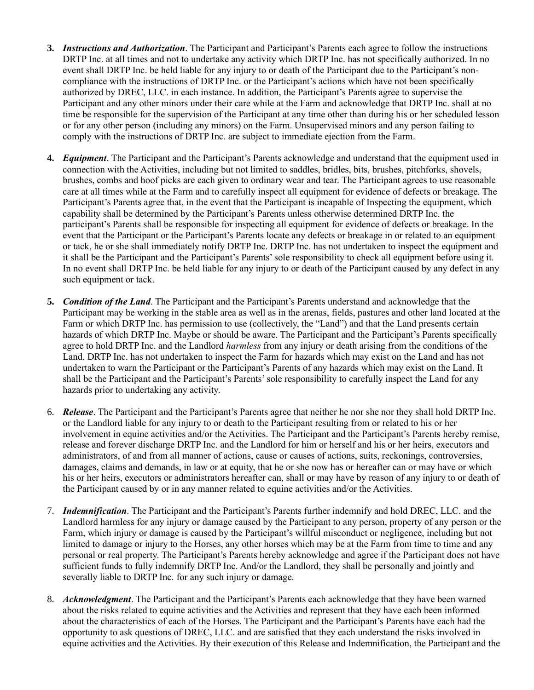- **3.** *Instructions and Authorization*. The Participant and Participant's Parents each agree to follow the instructions DRTP Inc. at all times and not to undertake any activity which DRTP Inc. has not specifically authorized. In no event shall DRTP Inc. be held liable for any injury to or death of the Participant due to the Participant's noncompliance with the instructions of DRTP Inc. or the Participant's actions which have not been specifically authorized by DREC, LLC. in each instance. In addition, the Participant's Parents agree to supervise the Participant and any other minors under their care while at the Farm and acknowledge that DRTP Inc. shall at no time be responsible for the supervision of the Participant at any time other than during his or her scheduled lesson or for any other person (including any minors) on the Farm. Unsupervised minors and any person failing to comply with the instructions of DRTP Inc. are subject to immediate ejection from the Farm.
- **4.** *Equipment*. The Participant and the Participant's Parents acknowledge and understand that the equipment used in connection with the Activities, including but not limited to saddles, bridles, bits, brushes, pitchforks, shovels, brushes, combs and hoof picks are each given to ordinary wear and tear. The Participant agrees to use reasonable care at all times while at the Farm and to carefully inspect all equipment for evidence of defects or breakage. The Participant's Parents agree that, in the event that the Participant is incapable of Inspecting the equipment, which capability shall be determined by the Participant's Parents unless otherwise determined DRTP Inc. the participant's Parents shall be responsible for inspecting all equipment for evidence of defects or breakage. In the event that the Participant or the Participant's Parents locate any defects or breakage in or related to an equipment or tack, he or she shall immediately notify DRTP Inc. DRTP Inc. has not undertaken to inspect the equipment and it shall be the Participant and the Participant's Parents' sole responsibility to check all equipment before using it. In no event shall DRTP Inc. be held liable for any injury to or death of the Participant caused by any defect in any such equipment or tack.
- **5.** *Condition of the Land*. The Participant and the Participant's Parents understand and acknowledge that the Participant may be working in the stable area as well as in the arenas, fields, pastures and other land located at the Farm or which DRTP Inc. has permission to use (collectively, the "Land") and that the Land presents certain hazards of which DRTP Inc. Maybe or should be aware. The Participant and the Participant's Parents specifically agree to hold DRTP Inc. and the Landlord *harmless* from any injury or death arising from the conditions of the Land. DRTP Inc. has not undertaken to inspect the Farm for hazards which may exist on the Land and has not undertaken to warn the Participant or the Participant's Parents of any hazards which may exist on the Land. It shall be the Participant and the Participant's Parents' sole responsibility to carefully inspect the Land for any hazards prior to undertaking any activity.
- 6. *Release*. The Participant and the Participant's Parents agree that neither he nor she nor they shall hold DRTP Inc. or the Landlord liable for any injury to or death to the Participant resulting from or related to his or her involvement in equine activities and/or the Activities. The Participant and the Participant's Parents hereby remise, release and forever discharge DRTP Inc. and the Landlord for him or herself and his or her heirs, executors and administrators, of and from all manner of actions, cause or causes of actions, suits, reckonings, controversies, damages, claims and demands, in law or at equity, that he or she now has or hereafter can or may have or which his or her heirs, executors or administrators hereafter can, shall or may have by reason of any injury to or death of the Participant caused by or in any manner related to equine activities and/or the Activities.
- 7. *Indemnification*. The Participant and the Participant's Parents further indemnify and hold DREC, LLC. and the Landlord harmless for any injury or damage caused by the Participant to any person, property of any person or the Farm, which injury or damage is caused by the Participant's willful misconduct or negligence, including but not limited to damage or injury to the Horses, any other horses which may be at the Farm from time to time and any personal or real property. The Participant's Parents hereby acknowledge and agree if the Participant does not have sufficient funds to fully indemnify DRTP Inc. And/or the Landlord, they shall be personally and jointly and severally liable to DRTP Inc. for any such injury or damage.
- 8. *Acknowledgment*. The Participant and the Participant's Parents each acknowledge that they have been warned about the risks related to equine activities and the Activities and represent that they have each been informed about the characteristics of each of the Horses. The Participant and the Participant's Parents have each had the opportunity to ask questions of DREC, LLC. and are satisfied that they each understand the risks involved in equine activities and the Activities. By their execution of this Release and Indemnification, the Participant and the